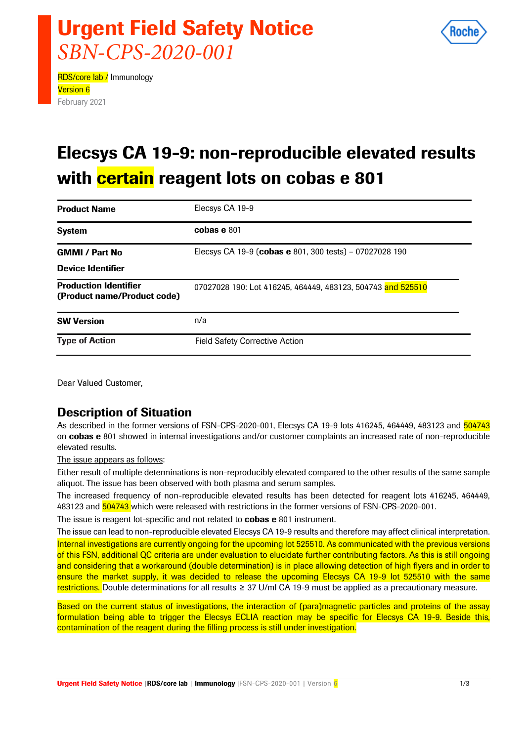

# Urgent Field Safety Notice *SBN-CPS-2020-001*

RDS/core lab / Immunology Version 6 February 2021

## Elecsys CA 19-9: non-reproducible elevated results with **certain** reagent lots on cobas e 801

| <b>Product Name</b>                                         | Elecsys CA 19-9                                             |
|-------------------------------------------------------------|-------------------------------------------------------------|
| <b>System</b>                                               | cobas e 801                                                 |
| <b>GMMI / Part No</b>                                       | Elecsys CA 19-9 (cobas e 801, 300 tests) - 07027028 190     |
| <b>Device Identifier</b>                                    |                                                             |
| <b>Production Identifier</b><br>(Product name/Product code) | 07027028 190: Lot 416245, 464449, 483123, 504743 and 525510 |
| <b>SW Version</b>                                           | n/a                                                         |
| <b>Type of Action</b>                                       | <b>Field Safety Corrective Action</b>                       |

Dear Valued Customer,

### Description of Situation

As described in the former versions of FSN-CPS-2020-001, Elecsys CA 19-9 lots 416245, 464449, 483123 and 504743 on cobas e 801 showed in internal investigations and/or customer complaints an increased rate of non-reproducible elevated results.

The issue appears as follows:

Either result of multiple determinations is non-reproducibly elevated compared to the other results of the same sample aliquot. The issue has been observed with both plasma and serum samples.

The increased frequency of non-reproducible elevated results has been detected for reagent lots 416245, 464449, 483123 and 504743 which were released with restrictions in the former versions of FSN-CPS-2020-001.

The issue is reagent lot-specific and not related to **cobas e** 801 instrument.

The issue can lead to non-reproducible elevated Elecsys CA 19-9 results and therefore may affect clinical interpretation.

Internal investigations are currently ongoing for the upcoming lot 525510. As communicated with the previous versions of this FSN, additional QC criteria are under evaluation to elucidate further contributing factors. As this is still ongoing and considering that a workaround (double determination) is in place allowing detection of high flyers and in order to ensure the market supply, it was decided to release the upcoming Elecsys CA 19-9 lot 525510 with the same restrictions. Double determinations for all results ≥ 37 U/ml CA 19-9 must be applied as a precautionary measure.

Based on the current status of investigations, the interaction of (para)magnetic particles and proteins of the assay formulation being able to trigger the Elecsys ECLIA reaction may be specific for Elecsys CA 19-9. Beside this, contamination of the reagent during the filling process is still under investigation.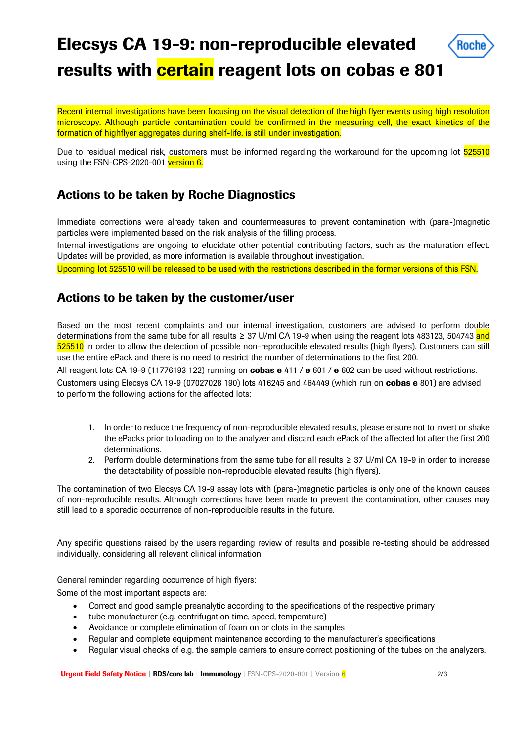## Elecsys CA 19-9: non-reproducible elevated results with **certain** reagent lots on cobas e 801

Recent internal investigations have been focusing on the visual detection of the high flyer events using high resolution microscopy. Although particle contamination could be confirmed in the measuring cell, the exact kinetics of the formation of highflyer aggregates during shelf-life, is still under investigation.

Due to residual medical risk, customers must be informed regarding the workaround for the upcoming lot 525510 using the FSN-CPS-2020-001 version 6.

### Actions to be taken by Roche Diagnostics

Immediate corrections were already taken and countermeasures to prevent contamination with (para-)magnetic particles were implemented based on the risk analysis of the filling process.

Internal investigations are ongoing to elucidate other potential contributing factors, such as the maturation effect. Updates will be provided, as more information is available throughout investigation.

Upcoming lot 525510 will be released to be used with the restrictions described in the former versions of this FSN.

### Actions to be taken by the customer/user

Based on the most recent complaints and our internal investigation, customers are advised to perform double determinations from the same tube for all results ≥ 37 U/ml CA 19-9 when using the reagent lots 483123, 504743 and 525510 in order to allow the detection of possible non-reproducible elevated results (high flyers). Customers can still use the entire ePack and there is no need to restrict the number of determinations to the first 200.

All reagent lots CA 19-9 (11776193 122) running on cobas e 411 / e 601 / e 602 can be used without restrictions. Customers using Elecsys CA 19-9 (07027028 190) lots 416245 and 464449 (which run on cobas e 801) are advised to perform the following actions for the affected lots:

- 1. In order to reduce the frequency of non-reproducible elevated results, please ensure not to invert or shake the ePacks prior to loading on to the analyzer and discard each ePack of the affected lot after the first 200 determinations.
- 2. Perform double determinations from the same tube for all results ≥ 37 U/ml CA 19-9 in order to increase the detectability of possible non-reproducible elevated results (high flyers).

The contamination of two Elecsys CA 19-9 assay lots with (para-)magnetic particles is only one of the known causes of non-reproducible results. Although corrections have been made to prevent the contamination, other causes may still lead to a sporadic occurrence of non-reproducible results in the future.

Any specific questions raised by the users regarding review of results and possible re-testing should be addressed individually, considering all relevant clinical information.

General reminder regarding occurrence of high flyers:

Some of the most important aspects are:

- Correct and good sample preanalytic according to the specifications of the respective primary
- tube manufacturer (e.g. centrifugation time, speed, temperature)
- Avoidance or complete elimination of foam on or clots in the samples
- Regular and complete equipment maintenance according to the manufacturer's specifications
- Regular visual checks of e.g. the sample carriers to ensure correct positioning of the tubes on the analyzers.

Roche